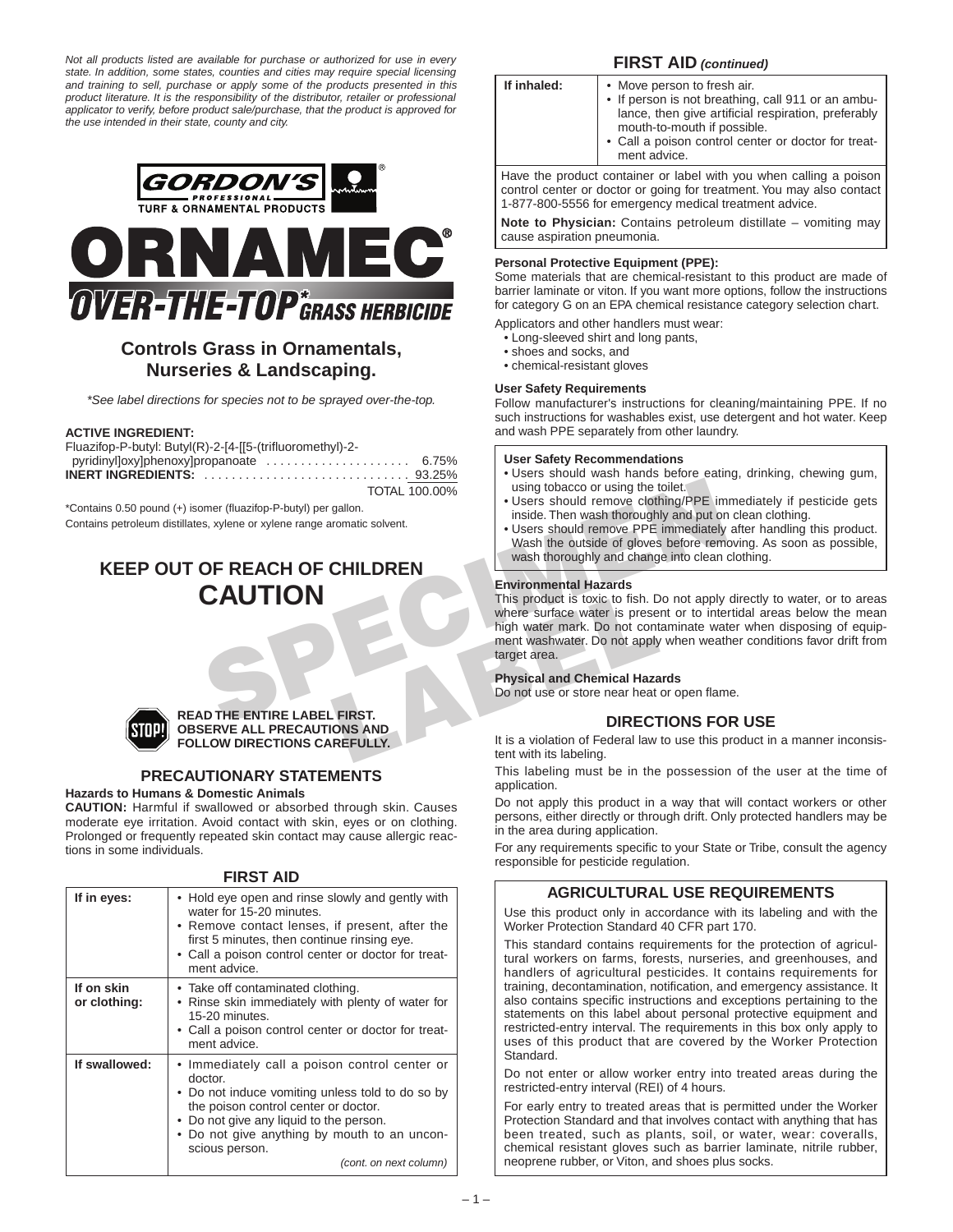*Not all products listed are available for purchase or authorized for use in every state. In addition, some states, counties and cities may require special licensing and training to sell, purchase or apply some of the products presented in this product literature. It is the responsibility of the distributor, retailer or professional applicator to verify, before product sale/purchase, that the product is approved for the use intended in their state, county and city.* 





# **Controls Grass in Ornamentals, Nurseries & Landscaping.**

*\*See label directions for species not to be sprayed over-the-top.*

#### **ACTIVE INGREDIENT:**

Fluazifop-P-butyl: Butyl(R)-2-[4-[[5-(trifluoromethyl)-2 pyridinyl]oxy]phenoxy]propanoate ........................ 6.75% **INERT INGREDIENTS:** . . . . . . . . . . . . . . . . . . . . . . . . . . . . . . 93.25% TOTAL 100.00%

\*Contains 0.50 pound (+) isomer (fluazifop-P-butyl) per gallon.

Contains petroleum distillates, xylene or xylene range aromatic solvent.

# **KEEP OUT OF REACH OF CHILDREN CAUTION**



#### **READ THE ENTIRE LABEL FIRST. OBSERVE ALL PRECAUTIONS AND FOLLOW DIRECTIONS CAREFULLY.**

# **PRECAUTIONARY STATEMENTS**

**Hazards to Humans & Domestic Animals**

**CAUTION:** Harmful if swallowed or absorbed through skin. Causes moderate eye irritation. Avoid contact with skin, eyes or on clothing. Prolonged or frequently repeated skin contact may cause allergic reactions in some individuals.

**FIRST AID**

| If in eyes:                | • Hold eye open and rinse slowly and gently with<br>water for 15-20 minutes.<br>• Remove contact lenses, if present, after the<br>first 5 minutes, then continue rinsing eye.<br>• Call a poison control center or doctor for treat-<br>ment advice.                                        |
|----------------------------|---------------------------------------------------------------------------------------------------------------------------------------------------------------------------------------------------------------------------------------------------------------------------------------------|
| If on skin<br>or clothing: | • Take off contaminated clothing.<br>• Rinse skin immediately with plenty of water for<br>15-20 minutes.<br>• Call a poison control center or doctor for treat-<br>ment advice.                                                                                                             |
| If swallowed:              | • Immediately call a poison control center or<br>doctor.<br>• Do not induce vomiting unless told to do so by<br>the poison control center or doctor.<br>• Do not give any liquid to the person.<br>• Do not give anything by mouth to an uncon-<br>scious person.<br>(cont. on next column) |

# **FIRST AID** *(continued)*

| If inhaled:                                                        | • Move person to fresh air.<br>• If person is not breathing, call 911 or an ambu-<br>lance, then give artificial respiration, preferably<br>mouth-to-mouth if possible.<br>• Call a poison control center or doctor for treat-<br>ment advice. |  |
|--------------------------------------------------------------------|------------------------------------------------------------------------------------------------------------------------------------------------------------------------------------------------------------------------------------------------|--|
| Have the product container or label with you when calling a poison |                                                                                                                                                                                                                                                |  |

control center or doctor or going for treatment. You may also contact 1-877-800-5556 for emergency medical treatment advice.

**Note to Physician:** Contains petroleum distillate – vomiting may cause aspiration pneumonia.

#### **Personal Protective Equipment (PPE):**

Some materials that are chemical-resistant to this product are made of barrier laminate or viton. If you want more options, follow the instructions for category G on an EPA chemical resistance category selection chart.

Applicators and other handlers must wear:

- Long-sleeved shirt and long pants,
- shoes and socks, and
- chemical-resistant gloves

#### **User Safety Requirements**

Follow manufacturer's instructions for cleaning/maintaining PPE. If no such instructions for washables exist, use detergent and hot water. Keep and wash PPE separately from other laundry.

#### **User Safety Recommendations**

- Users should wash hands before eating, drinking, chewing gum, using tobacco or using the toilet.
- Users should remove clothing/PPE immediately if pesticide gets inside. Then wash thoroughly and put on clean clothing.
- Users should remove PPE immediately after handling this product. Wash the outside of gloves before removing. As soon as possible, wash thoroughly and change into clean clothing.

#### **Environmental Hazards**

FORCH CHILDREN<br>
TOTAL 100.00%<br>
SIGN USIGE. Then wash thoroughly and put or<br>
significal controlling the total tension of BEACH OF CHILDREN<br>
SPECIENCE CHILDREN<br>
SPECIENCE CHILDREN<br>
TOTAL 100.00%<br>
USIGE. Then wash thoroughly This product is toxic to fish. Do not apply directly to water, or to areas where surface water is present or to intertidal areas below the mean high water mark. Do not contaminate water when disposing of equipment washwater. Do not apply when weather conditions favor drift from target area.

#### **Physical and Chemical Hazards**

Do not use or store near heat or open flame.

# **DIRECTIONS FOR USE**

It is a violation of Federal law to use this product in a manner inconsistent with its labeling.

This labeling must be in the possession of the user at the time of application.

Do not apply this product in a way that will contact workers or other persons, either directly or through drift. Only protected handlers may be in the area during application.

For any requirements specific to your State or Tribe, consult the agency responsible for pesticide regulation.

# **AGRICULTURAL USE REQUIREMENTS**

Use this product only in accordance with its labeling and with the Worker Protection Standard 40 CFR part 170.

This standard contains requirements for the protection of agricultural workers on farms, forests, nurseries, and greenhouses, and handlers of agricultural pesticides. It contains requirements for training, decontamination, notification, and emergency assistance. It also contains specific instructions and exceptions pertaining to the statements on this label about personal protective equipment and restricted-entry interval. The requirements in this box only apply to uses of this product that are covered by the Worker Protection Standard.

Do not enter or allow worker entry into treated areas during the restricted-entry interval (REI) of 4 hours.

For early entry to treated areas that is permitted under the Worker Protection Standard and that involves contact with anything that has been treated, such as plants, soil, or water, wear: coveralls, chemical resistant gloves such as barrier laminate, nitrile rubber, neoprene rubber, or Viton, and shoes plus socks.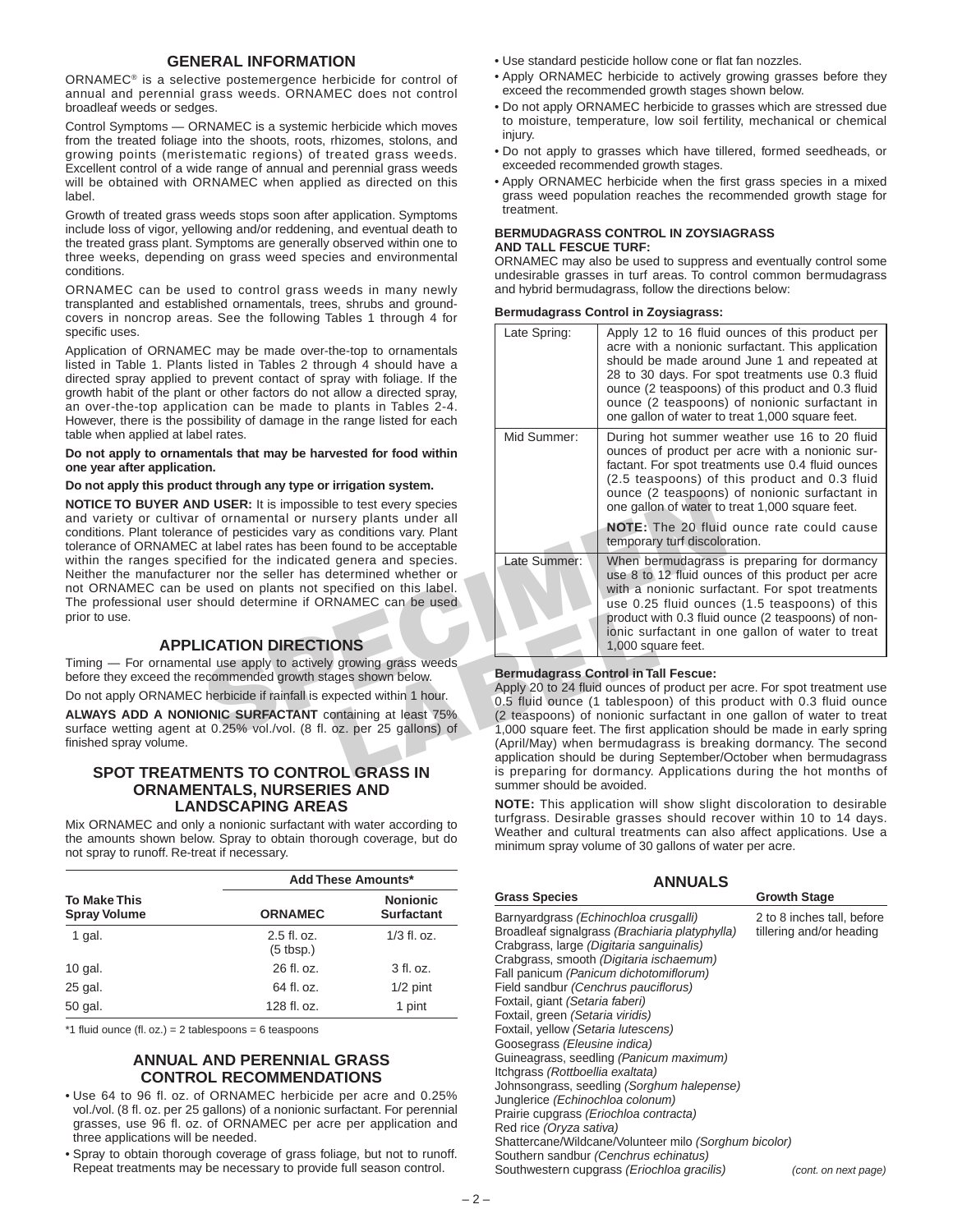# **GENERAL INFORMATION**

ORNAMEC® is a selective postemergence herbicide for control of annual and perennial grass weeds. ORNAMEC does not control broadleaf weeds or sedges.

Control Symptoms — ORNAMEC is a systemic herbicide which moves from the treated foliage into the shoots, roots, rhizomes, stolons, and growing points (meristematic regions) of treated grass weeds. Excellent control of a wide range of annual and perennial grass weeds will be obtained with ORNAMEC when applied as directed on this label.

Growth of treated grass weeds stops soon after application. Symptoms include loss of vigor, yellowing and/or reddening, and eventual death to the treated grass plant. Symptoms are generally observed within one to three weeks, depending on grass weed species and environmental conditions.

ORNAMEC can be used to control grass weeds in many newly transplanted and established ornamentals, trees, shrubs and groundcovers in noncrop areas. See the following Tables 1 through 4 for specific uses.

Application of ORNAMEC may be made over-the-top to ornamentals listed in Table 1. Plants listed in Tables 2 through 4 should have a directed spray applied to prevent contact of spray with foliage. If the growth habit of the plant or other factors do not allow a directed spray, an over-the-top application can be made to plants in Tables 2-4. However, there is the possibility of damage in the range listed for each table when applied at label rates.

#### **Do not apply to ornamentals that may be harvested for food within one year after application.**

#### **Do not apply this product through any type or irrigation system.**

**NOTICE TO BUYER AND USER:** It is impossible to test every species and variety or cultivar of ornamental or nursery plants under all conditions. Plant tolerance of pesticides vary as conditions vary. Plant tolerance of ORNAMEC at label rates has been found to be acceptable within the ranges specified for the indicated genera and species. Neither the manufacturer nor the seller has determined whether or not ORNAMEC can be used on plants not specified on this label. The professional user should determine if ORNAMEC can be used prior to use.

# **APPLICATION DIRECTIONS**

Timing — For ornamental use apply to actively growing grass weeds before they exceed the recommended growth stages shown below.

Do not apply ORNAMEC herbicide if rainfall is expected within 1 hour.

**ALWAYS ADD A NONIONIC SURFACTANT** containing at least 75% surface wetting agent at 0.25% vol./vol. (8 fl. oz. per 25 gallons) of finished spray volume.

# **SPOT TREATMENTS TO CONTROL GRASS IN ORNAMENTALS, NURSERIES AND LANDSCAPING AREAS**

Mix ORNAMEC and only a nonionic surfactant with water according to the amounts shown below. Spray to obtain thorough coverage, but do not spray to runoff. Re-treat if necessary.

|                                            |                              | <b>Add These Amounts*</b>            |
|--------------------------------------------|------------------------------|--------------------------------------|
| <b>To Make This</b><br><b>Spray Volume</b> | <b>ORNAMEC</b>               | <b>Nonionic</b><br><b>Surfactant</b> |
| 1 gal.                                     | $2.5$ fl. oz.<br>$(5$ tbsp.) | $1/3$ fl. oz.                        |
| $10$ gal.                                  | 26 fl. oz.                   | $3$ fl. oz.                          |
| 25 gal.                                    | 64 fl. oz.                   | $1/2$ pint                           |
| 50 gal.                                    | 128 fl. oz.                  | 1 pint                               |

 $*1$  fluid ounce (fl. oz.) = 2 tablespoons = 6 teaspoons

# **ANNUAL AND PERENNIAL GRASS CONTROL RECOMMENDATIONS**

- Use 64 to 96 fl. oz. of ORNAMEC herbicide per acre and 0.25% vol./vol. (8 fl. oz. per 25 gallons) of a nonionic surfactant. For perennial grasses, use 96 fl. oz. of ORNAMEC per acre per application and three applications will be needed.
- Spray to obtain thorough coverage of grass foliage, but not to runoff. Repeat treatments may be necessary to provide full season control.
- Use standard pesticide hollow cone or flat fan nozzles.
- Apply ORNAMEC herbicide to actively growing grasses before they exceed the recommended growth stages shown below.
- Do not apply ORNAMEC herbicide to grasses which are stressed due to moisture, temperature, low soil fertility, mechanical or chemical injury.
- Do not apply to grasses which have tillered, formed seedheads, or exceeded recommended growth stages.
- Apply ORNAMEC herbicide when the first grass species in a mixed grass weed population reaches the recommended growth stage for treatment.

#### **BERMUDAGRASS CONTROL IN ZOYSIAGRASS AND TALL FESCUE TURF:**

ORNAMEC may also be used to suppress and eventually control some undesirable grasses in turf areas. To control common bermudagrass and hybrid bermudagrass, follow the directions below:

#### **Bermudagrass Control in Zoysiagrass:**

| $\sim$ . Occ are reporting radico ranged to ref                                                                                                                                                                                                                                                 |              |                                                                                                                                                                                                                                                                                                                                                                                                                                                                                        |
|-------------------------------------------------------------------------------------------------------------------------------------------------------------------------------------------------------------------------------------------------------------------------------------------------|--------------|----------------------------------------------------------------------------------------------------------------------------------------------------------------------------------------------------------------------------------------------------------------------------------------------------------------------------------------------------------------------------------------------------------------------------------------------------------------------------------------|
| C may be made over-the-top to ornamentals<br>listed in Tables 2 through 4 should have a<br>o prevent contact of spray with foliage. If the<br>or other factors do not allow a directed spray,<br>ation can be made to plants in Tables 2-4.<br>ssibility of damage in the range listed for each | Late Spring: | Apply 12 to 16 fluid ounces of this product per<br>acre with a nonionic surfactant. This application<br>should be made around June 1 and repeated at<br>28 to 30 days. For spot treatments use 0.3 fluid<br>ounce (2 teaspoons) of this product and 0.3 fluid<br>ounce (2 teaspoons) of nonionic surfactant in<br>one gallon of water to treat 1,000 square feet.                                                                                                                      |
| el rates.<br>entals that may be harvested for food within<br>οn.                                                                                                                                                                                                                                | Mid Summer:  | During hot summer weather use 16 to 20 fluid<br>ounces of product per acre with a nonionic sur-<br>factant. For spot treatments use 0.4 fluid ounces                                                                                                                                                                                                                                                                                                                                   |
| ct through any type or irrigation system.                                                                                                                                                                                                                                                       |              | (2.5 teaspoons) of this product and 0.3 fluid<br>ounce (2 teaspoons) of nonionic surfactant in                                                                                                                                                                                                                                                                                                                                                                                         |
| <b>D USER:</b> It is impossible to test every species                                                                                                                                                                                                                                           |              | one gallon of water to treat 1,000 square feet.                                                                                                                                                                                                                                                                                                                                                                                                                                        |
| of ornamental or nursery plants under all<br>ce of pesticides vary as conditions vary. Plant<br>at label rates has been found to be acceptable                                                                                                                                                  |              | <b>NOTE:</b> The 20 fluid ounce rate could cause<br>temporary turf discoloration.                                                                                                                                                                                                                                                                                                                                                                                                      |
| ified for the indicated genera and species.<br>er nor the seller has determined whether or<br>used on plants not specified on this label.<br>hould determine if ORNAMEC can be used                                                                                                             | Late Summer: | When bermudagrass is preparing for dormancy<br>use 8 to 12 fluid ounces of this product per acre<br>with a nonionic surfactant. For spot treatments<br>use 0.25 fluid ounces (1.5 teaspoons) of this<br>product with 0.3 fluid ounce (2 teaspoons) of non-<br>ionic surfactant in one gallon of water to treat                                                                                                                                                                         |
| <b>ICATION DIRECTIONS</b>                                                                                                                                                                                                                                                                       |              | 1,000 square feet.                                                                                                                                                                                                                                                                                                                                                                                                                                                                     |
| al use apply to actively growing grass weeds<br>ecommended growth stages shown below.<br>herbicide if rainfall is expected within 1 hour.<br><b>ONIC SURFACTANT</b> containing at least 75%<br>t 0.25% vol./vol. (8 fl. oz. per 25 gallons) of                                                  |              | <b>Bermudagrass Control in Tall Fescue:</b><br>Apply 20 to 24 fluid ounces of product per acre. For spot treatment use<br>0.5 fluid ounce (1 tablespoon) of this product with 0.3 fluid ounce<br>(2 teaspoons) of nonionic surfactant in one gallon of water to treat<br>1,000 square feet. The first application should be made in early spring<br>(April/May) when bermudagrass is breaking dormancy. The second<br>application should be during September/October when bermudagrass |
| <b>ENTS TO CONTROL GRASS IN</b>                                                                                                                                                                                                                                                                 |              | is preparing for dormancy. Applications during the hot months of                                                                                                                                                                                                                                                                                                                                                                                                                       |

#### **Bermudagrass Control in Tall Fescue:**

Apply 20 to 24 fluid ounces of product per acre. For spot treatment use 0.5 fluid ounce (1 tablespoon) of this product with 0.3 fluid ounce (2 teaspoons) of nonionic surfactant in one gallon of water to treat 1,000 square feet. The first application should be made in early spring (April/May) when bermudagrass is breaking dormancy. The second application should be during September/October when bermudagrass is preparing for dormancy. Applications during the hot months of summer should be avoided.

**NOTE:** This application will show slight discoloration to desirable turfgrass. Desirable grasses should recover within 10 to 14 days. Weather and cultural treatments can also affect applications. Use a minimum spray volume of 30 gallons of water per acre.

| <b>ANNUALS</b>                                                                                                                                                                                                                                                                                                                                                                                                                                                                                                                                                                                                                                                                                                                                                                                              |                                                                                |  |  |
|-------------------------------------------------------------------------------------------------------------------------------------------------------------------------------------------------------------------------------------------------------------------------------------------------------------------------------------------------------------------------------------------------------------------------------------------------------------------------------------------------------------------------------------------------------------------------------------------------------------------------------------------------------------------------------------------------------------------------------------------------------------------------------------------------------------|--------------------------------------------------------------------------------|--|--|
| <b>Grass Species</b>                                                                                                                                                                                                                                                                                                                                                                                                                                                                                                                                                                                                                                                                                                                                                                                        | <b>Growth Stage</b>                                                            |  |  |
| Barnyardgrass (Echinochloa crusgalli)<br>Broadleaf signalgrass (Brachiaria platyphylla)<br>Crabgrass, large (Digitaria sanguinalis)<br>Crabgrass, smooth (Digitaria ischaemum)<br>Fall panicum (Panicum dichotomiflorum)<br>Field sandbur (Cenchrus pauciflorus)<br>Foxtail, giant <i>(Setaria faberi)</i><br>Foxtail, green (Setaria viridis)<br>Foxtail, yellow (Setaria lutescens)<br>Goosegrass (Eleusine indica)<br>Guineagrass, seedling (Panicum maximum)<br>Itchgrass (Rottboellia exaltata)<br>Johnsongrass, seedling (Sorghum halepense)<br>Junglerice (Echinochloa colonum)<br>Prairie cupgrass (Eriochloa contracta)<br>Red rice (Oryza sativa)<br>Shattercane/Wildcane/Volunteer milo (Sorghum bicolor)<br>Southern sandbur (Cenchrus echinatus)<br>Southwestern cupgrass (Eriochloa gracilis) | 2 to 8 inches tall, before<br>tillering and/or heading<br>(cont. on next page) |  |  |
|                                                                                                                                                                                                                                                                                                                                                                                                                                                                                                                                                                                                                                                                                                                                                                                                             |                                                                                |  |  |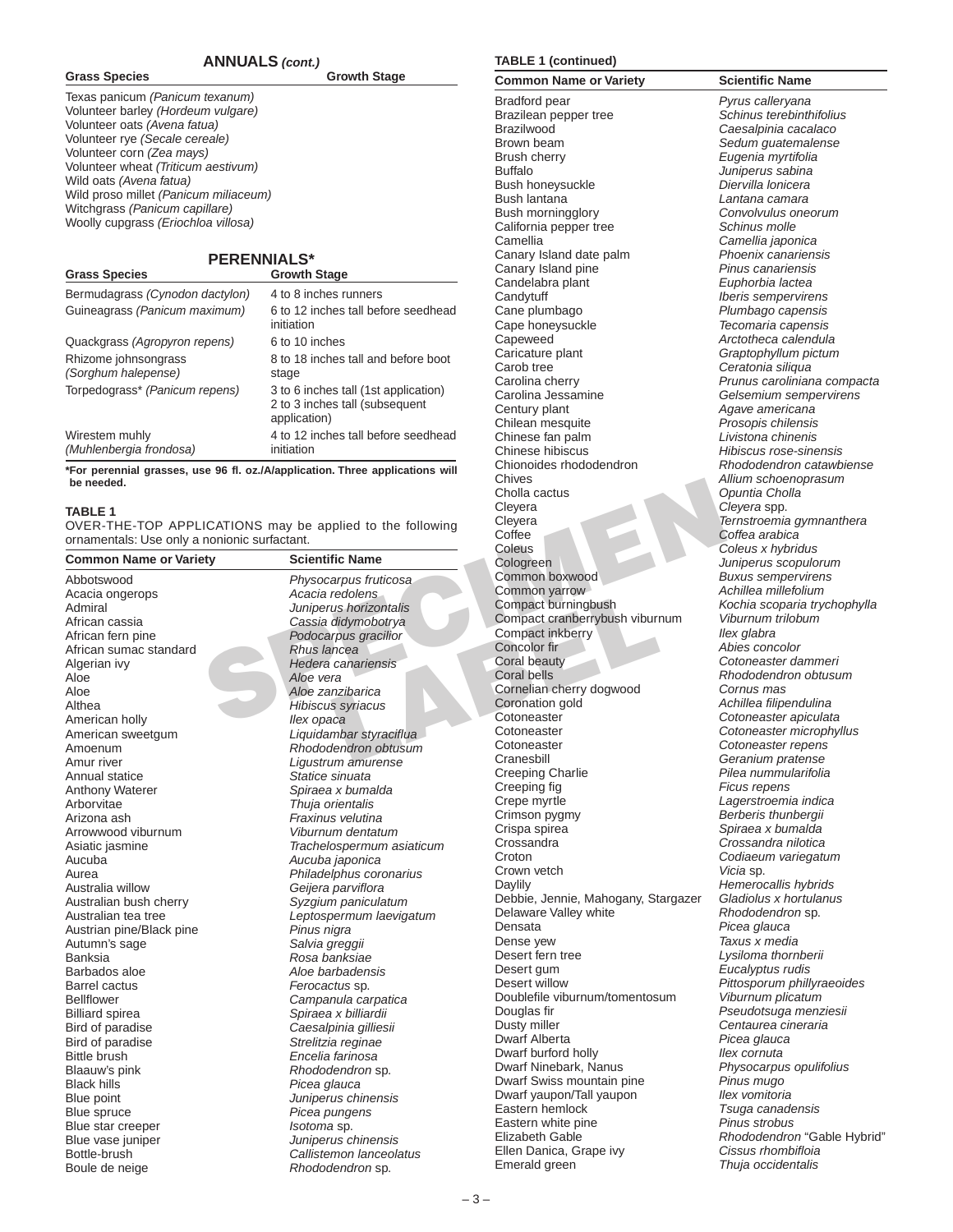#### **ANNUALS** *(cont.)*

**Grass Species Growth Stage**

Texas panicum *(Panicum texanum)* Volunteer barley *(Hordeum vulgare)* Volunteer oats *(Avena fatua)* Volunteer rye *(Secale cereale)* Volunteer corn *(Zea mays)* Volunteer wheat *(Triticum aestivum)* Wild oats *(Avena fatua)* Wild proso millet *(Panicum miliaceum)* Witchgrass *(Panicum capillare)* Woolly cupgrass *(Eriochloa villosa)*

# **PERENNIALS\***

| <b>UI ASS OPECIES</b>                       | Growth Stage                                                                           |
|---------------------------------------------|----------------------------------------------------------------------------------------|
| Bermudagrass (Cynodon dactylon)             | 4 to 8 inches runners                                                                  |
| Guineagrass (Panicum maximum)               | 6 to 12 inches tall before seedhead<br>initiation                                      |
| Quackgrass (Agropyron repens)               | 6 to 10 inches                                                                         |
| Rhizome johnsongrass<br>(Sorghum halepense) | 8 to 18 inches tall and before boot<br>stage                                           |
| Torpedograss* (Panicum repens)              | 3 to 6 inches tall (1st application)<br>2 to 3 inches tall (subsequent<br>application) |
| Wirestem muhly<br>(Muhlenbergia frondosa)   | 4 to 12 inches tall before seedhead<br>initiation                                      |

**\*For perennial grasses, use 96 fl. oz./A/application. Three applications will be needed.**

#### **TABLE 1**

**Grass Species Growth Stage**

| be needed.                                                |                           | UNIVES                              |                |
|-----------------------------------------------------------|---------------------------|-------------------------------------|----------------|
|                                                           | Cholla cactus             | C                                   |                |
| <b>TABLE 1</b>                                            |                           | Cleyera                             | C              |
| OVER-THE-TOP APPLICATIONS may be applied to the following | Cleyera                   | $\overline{I}$                      |                |
| ornamentals: Use only a nonionic surfactant.              |                           | Coffee                              | Ċ              |
|                                                           |                           | Coleus                              | C              |
| <b>Common Name or Variety</b>                             | <b>Scientific Name</b>    | Cologreen                           | J              |
| Abbotswood                                                | Physocarpus fruticosa     | Common boxwood                      | B              |
| Acacia ongerops                                           | Acacia redolens           | Common yarrow                       | Α              |
| Admiral                                                   | Juniperus horizontalis    | Compact burningbush                 | K              |
| African cassia                                            | Cassia didymobotrya       | Compact cranberrybush viburnum      | ν              |
| African fern pine                                         | Podocarpus gracilior      | Compact inkberry                    | $\mathcal{U}$  |
| African sumac standard                                    | Rhus lancea               | Concolor fir                        | Α              |
| Algerian ivy                                              | Hedera canariensis        | Coral beauty                        | C              |
| Aloe                                                      | Aloe vera                 | <b>Coral bells</b>                  | R              |
| Aloe                                                      | Aloe zanzibarica          | Cornelian cherry dogwood            | C              |
| Althea                                                    | Hibiscus syriacus         | Coronation gold                     | Α              |
| American holly                                            | llex opaca                | Cotoneaster                         | C              |
| American sweetgum                                         | Liquidambar styraciflua   | Cotoneaster                         | C              |
| Amoenum                                                   | Rhododendron obtusum      | Cotoneaster                         | C              |
| Amur river                                                | Ligustrum amurense        | Cranesbill                          | G              |
| Annual statice                                            | Statice sinuata           | <b>Creeping Charlie</b>             | $\overline{P}$ |
| Anthony Waterer                                           | Spiraea x bumalda         | Creeping fig                        | F              |
| Arborvitae                                                | Thuja orientalis          | Crepe myrtle                        | L              |
| Arizona ash                                               | Fraxinus velutina         | Crimson pygmy                       | B              |
| Arrowwood viburnum                                        | Viburnum dentatum         | Crispa spirea                       | S              |
| Asiatic jasmine                                           | Trachelospermum asiaticum | Crossandra                          | C              |
| Aucuba                                                    | Aucuba japonica           | Croton                              | C              |
| Aurea                                                     | Philadelphus coronarius   | Crown vetch                         | V              |
| Australia willow                                          | Geijera parviflora        | Daylily                             | $\mathsf{H}$   |
|                                                           | Syzgium paniculatum       | Debbie, Jennie, Mahogany, Stargazer | G              |
| Australian bush cherry                                    |                           | Delaware Valley white               | R              |
| Australian tea tree                                       | Leptospermum laevigatum   | Densata                             | $\overline{P}$ |
| Austrian pine/Black pine                                  | Pinus nigra               | Dense yew                           | T              |
| Autumn's sage                                             | Salvia greggii            | Desert fern tree                    | L              |
| Banksia                                                   | Rosa banksiae             | Desert gum                          | Ė              |
| Barbados aloe                                             | Aloe barbadensis          | Desert willow                       | $\overline{P}$ |
| <b>Barrel cactus</b>                                      | Ferocactus sp.            | Doublefile viburnum/tomentosum      | $\vee$         |
| <b>Bellflower</b>                                         | Campanula carpatica       | Douglas fir                         | $\overline{P}$ |
| <b>Billiard spirea</b>                                    | Spiraea x billiardii      | Dusty miller                        | C              |
| Bird of paradise                                          | Caesalpinia gilliesii     | Dwarf Alberta                       | $\overline{P}$ |
| Bird of paradise                                          | Strelitzia reginae        | Dwarf burford holly                 | $\mathcal{U}$  |
| Bittle brush                                              | Encelia farinosa          |                                     | P              |
| Blaauw's pink                                             | Rhododendron sp.          | Dwarf Ninebark, Nanus               | P              |
| <b>Black hills</b>                                        | Picea glauca              | Dwarf Swiss mountain pine           |                |
| Blue point                                                | Juniperus chinensis       | Dwarf yaupon/Tall yaupon            | $\mathcal{U}$  |
| Blue spruce                                               | Picea pungens             | Eastern hemlock                     | Τ              |
| Blue star creeper                                         | Isotoma sp.               | Eastern white pine                  | P              |
| Blue vase juniper                                         | Juniperus chinensis       | Elizabeth Gable                     | R              |
| Bottle-brush                                              | Callistemon lanceolatus   | Ellen Danica, Grape ivy             | С              |
| Boule de neige                                            | Rhododendron sp.          | Emerald green                       | Τ              |

### **TABLE 1 (continued)**

Bradford pear *Pyrus calleryana* Brazilean pepper tree *Schinus terebinthifolius* Brazilwood *Caesalpinia cacalaco* Brown beam *Sedum guatemalense* Brush cherry *Eugenia myrtifolia* Buffalo *Juniperus sabina* Bush honeysuckle *Diervilla lonicera* Bush morningglory *Convolvulus oneorum* California pepper tree *Schinus molle* Camellia *Camellia japonica* Canary Island date palm *Phoenix canariensis* Canary Island pine *Pinus canariensis* Candelabra plant *Euphorbia lactea* Candytuff *Iberis sempervirens* Cane plumbago *Plumbago capensis* Cape honeysuckle *Tecomaria capensis* Capeweed *Arctotheca calendula* Caricature plant *Graptophyllum pictum* Carob tree *Ceratonia siliqua* Carolina cherry *Prunus caroliniana compacta* Carolina Jessamine *Gelsemium sempervirens* Century plant *Agave americana* Chilean mesquite *Prosopis chilensis* Chinese fan palm *Livistona chinenis* Chinese hibiscus *Hibiscus rose-sinensis* Chionoides rhododendron *Rhododendron catawbiense* Chives *Allium schoenoprasum* Cholla cactus *Opuntia Cholla* Cleyera *Cleyera* spp. Cleyera *Ternstroemia gymnanthera* Coffee *Coffea arabica* Coleus *Coleus x hybridus* Cologreen *Juniperus scopulorum* Common boxwood *Buxus sempervirens* Common yarrow *Achillea millefolium* Compact burningbush *Kochia scoparia trychophylla* Compact cranberrybush viburnum *Viburnum trilobum* Compact inkberry *Ilex glabra* Concolor fir *Abies concolor* Coral beauty *Cotoneaster dammeri* Coral bells *Rhododendron obtusum* Cornelian cherry dogwood *Cornus mas* Coronation gold *Achillea filipendulina* Cotoneaster *Cotoneaster apiculata* Cotoneaster *Cotoneaster microphyllus* Cotoneaster *Cotoneaster repens* Cranesbill *Geranium pratense* Creeping Charlie *Pilea nummularifolia* Creeping fig *Ficus repens* Crepe myrtle *Lagerstroemia indica* Crispa spirea *Spiraea x bumalda* Crossandra *Crossandra nilotica* Croton *Codiaeum variegatum* Crown vetch *Vicia* sp. Daylily *Hemerocallis hybrids* Debbie, Jennie, Mahogany, Stargazer *Gladiolus x hortulanus* Delaware Valley white *Rhododendron* sp. Densata *Picea glauca* Dense yew *Taxus x media* Desert fern tree *Lysiloma thornberii* Desert gum *Eucalyptus rudis* Desert willow *Pittosporum phillyraeoides* Doublefile viburnum/tomentosum *Viburnum plicatum* Douglas fir *Pseudotsuga menziesii* Dusty miller *Centaurea cineraria* Dwarf Alberta *Picea glauca* Dwarf burford holly Dwarf Ninebark, Nanus *Physocarpus opulifolius* Dwarf Swiss mountain pine *Pinus mugo* Dwarf yaupon/Tall yaupon *Ilex vomitoria* Eastern hemlock *Tsuga canadensis* Eastern white pine *Pinus strobus* Elizabeth Gable *Rhododendron* "Gable Hybrid" Ellen Danica, Grape ivy *Cissus rhombifloia* Emerald green *Thuja occidentalis*

**Common Name or Variety Scientific Name** Bush lantana *Lantana camara* Crimson pygmy *Berberis thunbergii*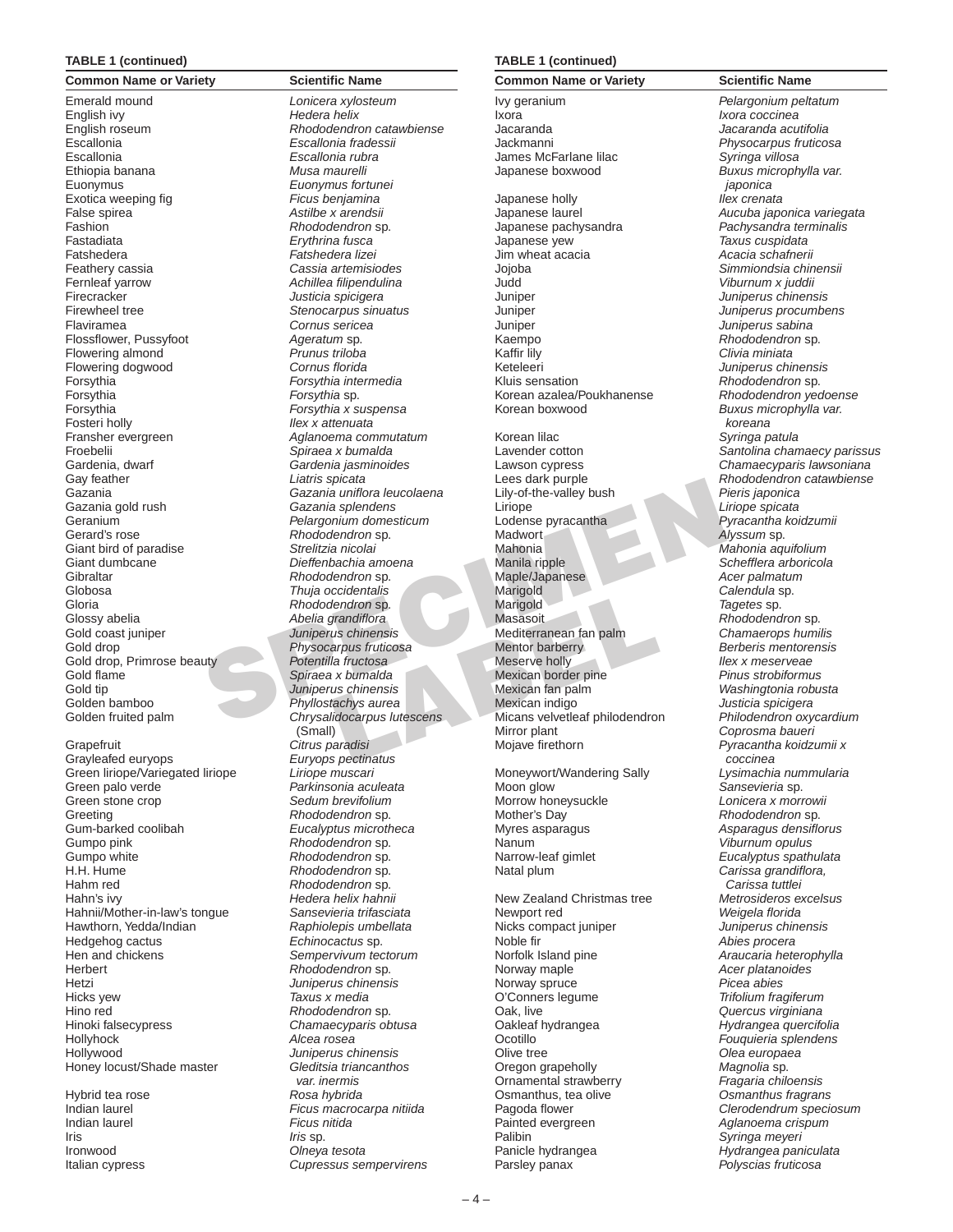#### **TABLE 1 (continued)**

**Common Name or Variety <b>Scientific Name** Emerald mound *Lonicera xylosteum* English ivy *Hedera helix* Escallonia *Escallonia fradessii* Escallonia *Escallonia rubra* Ethiopia banana *Musa maurelli* Euonymus *Euonymus fortunei* Exotica weeping fig *Ficus benjamina* False spirea *Astilbe x arendsii* Fashion *Rhododendron* sp. Fastadiata *Erythrina fusca* Fatshedera *Fatshedera lizei* Feathery cassia *Cassia artemisiodes* Fernleaf yarrow *Achillea filipendulina* Firecracker *Justicia spicigera* Firewheel tree *Stenocarpus sinuatus* Flaviramea *Cornus sericea* Flossflower, Pussyfoot *Ageratum* sp. Flowering almond *Prunus triloba* Flowering dogwood *Cornus florida* Forsythia *Forsythia intermedia* Forsythia *Forsythia* sp. Forsythia *Forsythia x suspensa* Fosteri holly *Ilex x attenuata* Froebelii *Spiraea x bumalda* Gardenia, dwarf *Gardenia jasminoides* Gay feather *Liatris spicata* Gazania gold rush *Gazania splendens* Geranium *Pelargonium domesticum* Gerard's rose *Rhododendron* sp. Giant bird of paradise *Strelitzia nicolai* Giant dumbcane *Dieffenbachia amoena* Gibraltar *Rhododendron* sp. Globosa *Thuja occidentalis* Gloria *Rhododendron* sp. Glossy abelia *Abelia grandiflora* Gold coast juniper *Juniperus chinensis* Gold drop *Physocarpus fruticosa* Gold drop, Primrose beauty *Potentilla fructosa* Gold flame *Spiraea x bumalda* Gold tip *Juniperus chinensis* Golden bamboo *Phyllostachys aurea*

Grapefruit *Citrus paradisi* Grayleafed euryops *Euryops pectinatus* Green liriope/Variegated liriope *Liriope muscari* Green stone crop *Sedum brevifolium* Greeting *Rhododendron* sp. Gum-barked coolibah *Eucalyptus microtheca* Gumpo pink *Rhododendron* sp. Gumpo white *Rhododendron* sp. H.H. Hume *Rhododendron* sp. Hahm red *Rhododendron* sp. Hahn's ivy *Hedera helix hahnii* Hahnii/Mother-in-law's tongue *Sansevieria trifasciata* Hawthorn, Yedda/Indian *Raphiolepis umbellata* Hedgehog cactus *Echinocactus* sp. Herbert *Rhododendron* sp. Hetzi *Juniperus chinensis* Hicks yew *Taxus x media* Hino red *Rhododendron* sp. Hinoki falsecypress *Chamaecyparis obtusa* Hollyhock *Alcea rosea* Hollywood *Juniperus chinensis* Honey locust/Shade master *Gleditsia triancanthos* 

Indian laurel *Ficus nitida* Iris *Iris* sp. Ironwood *Olneya tesota*

Carrier spiceral<br>
Cazania splendens<br>
Cazania splendens<br>
Cazania splendens<br>
Cazania splendens<br>
Cazania splendens<br>
Cacania splendens<br>
Cacania splendens<br>
Cacania splendens<br>
Cacania splendens<br>
Cacania Madwort<br>
Strelitzia nicol English roseum *Rhododendron catawbiense* Fransher evergreen *Aglanoema commutatum* Gazania *Gazania uniflora leucolaena* Golden fruited palm *Chrysalidocarpus lutescens* (Small) Green palo verde *Parkinsonia aculeata* Hen and chickens *Sempervivum tectorum var. inermis* Hybrid tea rose *Rosa hybrida* Indian laurel *Ficus macrocarpa nitiida* Italian cypress *Cupressus sempervirens*

#### **TABLE 1 (continued)**

**Common Name or Variety <b>Scientific Name** Ivy geranium *Pelargonium peltatum* Ixora *Ixora coccinea* Jacaranda *Jacaranda acutifolia* Jackmanni *Physocarpus fruticosa* James McFarlane lilac *Syringa villosa* Japanese boxwood *Buxus microphylla var.*  Japanese holly *Ilex crenata* Japanese laurel *Aucuba japonica variegata* Japanese pachysandra *Pachysandra terminalis* Jim wheat acacia *Acacia schafnerii* Jojoba *Simmiondsia chinensii* Judd *Viburnum x juddii* Juniper *Juniperus chinensis* Juniper *Juniperus procumbens* Juniper *Juniperus sabina* Kaempo *Rhododendron* sp. Kaffir lily *Clivia miniata* Keteleeri *Juniperus chinensis* Kluis sensation *Rhododendron* sp. Korean azalea/Poukhanense *Rhododendron yedoense* Korean boxwood *Buxus microphylla var.*  Korean lilac *Syringa patula* Lawson cypress *Chamaecyparis lawsoniana* Lily-of-the-valley bush *Pieris japonica* Liriope *Liriope spicata* Lodense pyracantha *Pyracantha koidzumii* Madwort *Alyssum* sp. Mahonia *Mahonia aquifolium* Manila ripple *Schefflera arboricola* Maple/Japanese *Acer palmatum* Marigold *Calendula* sp. Marigold *Tagetes* sp. Masasoit *Rhododendron* sp. Mediterranean fan palm *Chamaerops humilis* Mentor barberry *Berberis mentorensis* Meserve holly *Ilex x meserveae* Mexican border pine *Pinus strobiformus* Mexican fan palm *Washingtonia robusta* Mexican indigo *Justicia spicigera* Micans velvetleaf philodendron *Philodendron oxycardium* Mirror plant *Coprosma baueri* Mojave firethorn *Pyracantha koidzumii x*  Moneywort/Wandering Sally *Lysimachia nummularia* Moon glow *Sansevieria* sp. Morrow honeysuckle *Lonicera x morrowii* Mother's Day *Rhododendron* sp. Myres asparagus *Asparagus densiflorus* Nanum *Viburnum opulus* Narrow-leaf gimlet *Eucalyptus spathulata* Natal plum *Carissa grandiflora,*  New Zealand Christmas tree *Metrosideros excelsus* Newport red *Weigela florida* Nicks compact juniper *Juniperus chinensis* Noble fir *Abies procera* Norfolk Island pine *Araucaria heterophylla* Norway maple *Acer platanoides* Norway spruce *Picea abies* O'Conners legume *Trifolium fragiferum* Oak, live *Quercus virginiana* Oakleaf hydrangea *Hydrangea quercifolia* Ocotillo *Fouquieria splendens* Olive tree *Olea europaea* Oregon grapeholly *Magnolia* sp. Ornamental strawberry *Fragaria chiloensis* Osmanthus, tea olive *Osmanthus fragrans*

*japonica* Japanese yew *Taxus cuspidata koreana* Lavender cotton *Santolina chamaecy parissus* Lees dark purple *Rhododendron catawbiense coccinea Carissa tuttlei* Pagoda flower *Clerodendrum speciosum* Painted evergreen *Aglanoema crispum* Palibin *Syringa meyeri* Panicle hydrangea *Hydrangea paniculata* Parsley panax *Polyscias fruticosa*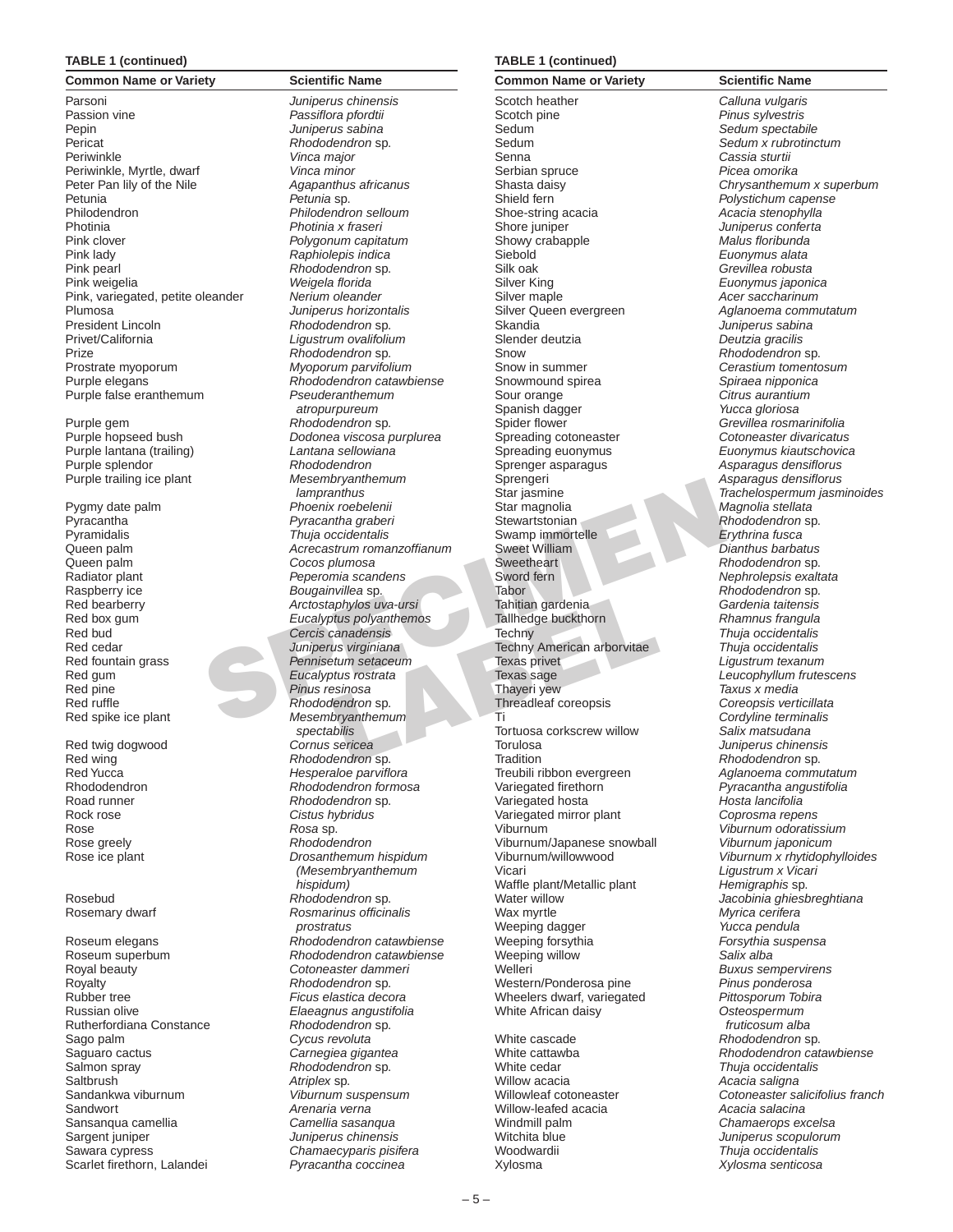#### **TABLE 1 (continued)**

Parsoni *Juniperus chinensis* Passion vine *Passiflora pfordtii* Pepin *Juniperus sabina* Pericat *Rhododendron* sp. Periwinkle *Vinca major* Periwinkle, Myrtle, dwarf *Vinca minor* Peter Pan lily of the Nile *Agapanthus africanus* Petunia *Petunia* sp. Philodendron *Philodendron selloum* Photinia *Photinia x fraseri* Pink clover *Polygonum capitatum* Pink lady *Raphiolepis indica* Pink pearl *Rhododendron* sp. Pink weigelia *Weigela florida* Pink, variegated, petite oleander *Nerium oleander* Plumosa *Juniperus horizontalis* President Lincoln *Rhododendron* sp. Privet/California *Ligustrum ovalifolium* Prize *Rhododendron* sp. Prostrate myoporum *Myoporum parvifolium* Purple elegans *Rhododendron catawbiense* Purple false eranthemum *Pseuderanthemum* 

Purple gem *Rhododendron* sp. Purple lantana (trailing) *Lantana sellowiana* Purple splendor<sup>or</sup> **Rhododendron**<br>
Purple trailing ice plant *Rhododendron* Purple trailing ice plant

Queen palm *Cocos plumosa* Raspberry ice *Bougainvillea* sp. Red pine *Pinus resinosa*

Rock rose *Cistus hybridus* Rose *Rosa* sp. Rose greely *Rhododendron*

Royal beauty *Cotoneaster dammeri* Royalty *Rhododendron* sp. Rubber tree *Ficus elastica decora* Russian olive *Elaeagnus angustifolia* Rutherfordiana Constance *Rhododendron* sp. Sago palm *Cycus revoluta* Saguaro cactus *Carnegiea gigantea* Salmon spray *Rhododendron* sp. Saltbrush *Atriplex* sp. Sandankwa viburnum *Viburnum suspensum* Sandwort *Arenaria verna* Sansanqua camellia *Camellia sasanqua* Sargent juniper *Juniperus chinensis* Sawara cypress *Chamaecyparis pisifera* Scarlet firethorn, Lalandei *Pyracantha coccinea*

# **Common Name or Variety <b>Scientific Name**

Mesembryanthernum<br>
Mengaharities and the star is the procedure of the procedure of the star is the percent of the percent of the creasing the creasing content of the creasing the creasing the creasing the creasing the crea *atropurpureum* Purple hopseed bush *Dodonea viscosa purplurea lampranthus* Pygmy date palm *Phoenix roebelenii* Pyracantha *Pyracantha graberi* Pyramidalis *Thuja occidentalis* Queen palm *Acrecastrum romanzoffianum* Radiator plant *Peperomia scandens* Red bearberry *Arctostaphylos uva-ursi* Red box gum *Eucalyptus polyanthemos* Red bud *Cercis canadensis* Juniperus virginiana Red fountain grass *Pennisetum setaceum* Red gum *Eucalyptus rostrata* Red ruffle *Rhododendron* sp. Red spike ice plant *Mesembryanthemum spectabilis* Red twig dogwood *Cornus sericea* Red wing *Rhododendron* sp. Red Yucca *Hesperaloe parviflora* Rhododendron *Rhododendron formosa* Road runner *Rhododendron* sp. Rose ice plant *Drosanthemum hispidum (Mesembryanthemum hispidum)* Rosebud *Rhododendron* sp. Rosemary dwarf *Rosmarinus officinalis prostratus* Roseum elegans *Rhododendron catawbiense* Roseum superbum *Rhododendron catawbiense*

#### **TABLE 1 (continued)**

Scotch heather *Calluna vulgaris* Scotch pine *Pinus sylvestris* Sedum *Sedum spectabile* Sedum *Sedum x rubrotinctum* Senna *Cassia sturtii* Serbian spruce *Picea omorika* Shield fern *Polystichum capense* Shoe-string acacia *Acacia stenophylla* Shore juniper *Juniperus conferta* Showy crabapple Siebold *Euonymus alata* Silk oak *Grevillea robusta* Silver King *Euonymus japonica* Silver maple *Acer saccharinum* Silver Queen evergreen *Aglanoema commutatum* Skandia *Juniperus sabina* Slender deutzia *Deutzia gracilis* Snow *Rhododendron* sp. Snow in summer *Cerastium tomentosum* Snowmound spirea *Spiraea nipponica* Sour orange *Citrus aurantium* Spanish dagger *Yucca gloriosa* Spider flower *Grevillea rosmarinifolia* Spreading cotoneaster *Cotoneaster divaricatus* Spreading euonymus *Euonymus kiautschovica* Sprenger asparagus *Asparagus densiflorus* Star magnolia *Magnolia stellata* **Stewartstonian** *Rhododendron* sp. Swamp immortelle *Erythrina fusca* **Sweetheart Rhododendron sp.** Sword fern *Nephrolepsis exaltata* Tabor **Rhododendron** sp. Tahitian gardenia *Gardenia taitensis* Tallhedge buckthorn Techny *Thuja occidentalis* Techny American arborvitae *Thuja occidentalis* Texas privet *Ligustrum texanum* Thayeri yew *Taxus x media* Threadleaf coreopsis *Coreopsis verticillata* Ti *Cordyline terminalis* Tortuosa corkscrew willow *Salix matsudana* Torulosa *Juniperus chinensis* Tradition *Rhododendron* sp. Treubili ribbon evergreen *Aglanoema commutatum* Variegated firethorn *Pyracantha angustifolia* Variegated hosta *Hosta lancifolia* Variegated mirror plant *Coprosma repens* Viburnum *Viburnum odoratissium* Viburnum/Japanese snowball *Viburnum japonicum* Viburnum/willowwood *Viburnum x rhytidophylloides* Vicari *Ligustrum x Vicari* Waffle plant/Metallic plant *Hemigraphis* sp. Water willow *Jacobinia ghiesbreghtiana* Wax myrtle *Myrica cerifera* Weeping dagger *Yucca pendula* Weeping forsythia *Forsythia suspensa* Weeping willow *Salix alba* Welleri *Buxus sempervirens* Western/Ponderosa pine *Pinus ponderosa* Wheelers dwarf, variegated White African daisy *Osteospermum* 

White cedar *Thuja occidentalis* Willow acacia *Acacia saligna* Willow-leafed acacia *Acacia salacina* Windmill palm *Chamaerops excelsa* Woodwardii *Thuja occidentalis* Xylosma *Xylosma senticosa*

**Common Name or Variety <b>Scientific Name** Shasta daisy *Chrysanthemum x superbum* Sprengeri *Asparagus densiflorus* Star jasmine *Trachelospermum jasminoides*  $Dian thus$  barbatus Texas sage *Leucophyllum frutescens fruticosum alba* White cascade *Rhododendron* sp. White cattawba *Rhododendron catawbiense* Willowleaf cotoneaster *Cotoneaster salicifolius franch* Witchita blue *Juniperus scopulorum*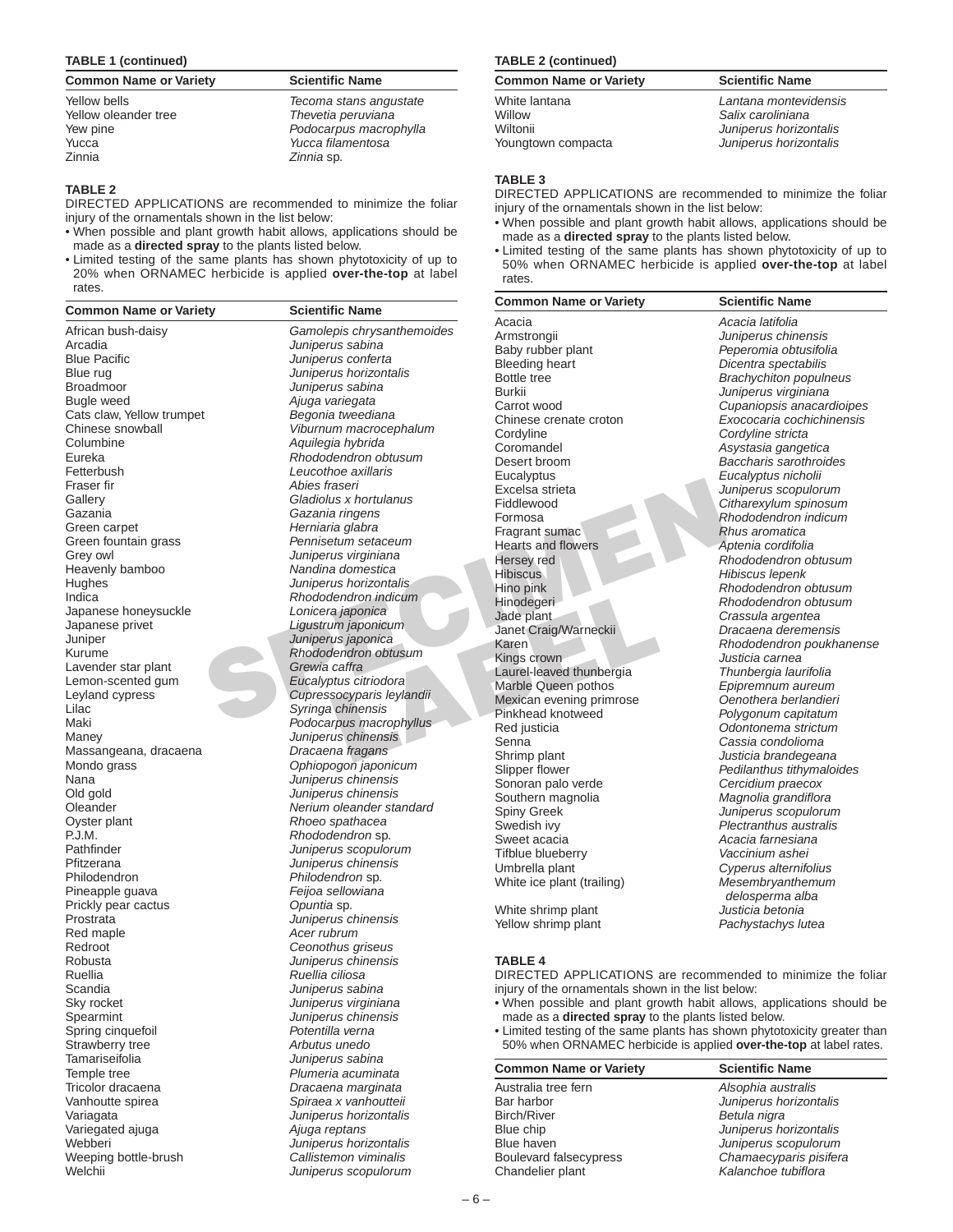#### **TABLE 1 (continued)**

| <b>Common Name or Variety</b> | <b>Scientific Name</b> |
|-------------------------------|------------------------|
| Yellow bells                  | Tecoma stans angustate |
| Yellow oleander tree          | Thevetia peruviana     |
| Yew pine                      | Podocarpus macrophylla |
| Yucca                         | Yucca filamentosa      |
| Zinnia                        | Zinnia sp.             |

## **TABLE 2**

DIRECTED APPLICATIONS are recommended to minimize the foliar injury of the ornamentals shown in the list below:

- When possible and plant growth habit allows, applications should be made as a **directed spray** to the plants listed below.
- Limited testing of the same plants has shown phytotoxicity of up to 20% when ORNAMEC herbicide is applied **over-the-top** at label rates.

| <br>.                       |
|-----------------------------|
| African bush-daisy          |
| Arcadia                     |
| <b>Blue Pacific</b>         |
| Blue rug                    |
| Broadmoor                   |
| <b>Bugle weed</b>           |
| Cats claw, Yellow trumpet   |
| Chinese snowball            |
| Columbine                   |
| Eureka<br>Fetterbush        |
| Fraser fir                  |
| Gallery                     |
| Gazania                     |
| Green carpet                |
| Green fountain grass        |
| Grey owl                    |
| Heavenly bamboo             |
| Hughes                      |
| Indica                      |
| Japanese honeysuckle        |
| Japanese privet             |
| Juniper                     |
| Kurume                      |
| Lavender star plant         |
| Lemon-scented gum           |
| Leyland cypress             |
| Lilac                       |
| Maki                        |
| Maney                       |
| Massangeana, dracaena       |
| Mondo grass                 |
| Nana                        |
| Old gold                    |
| Oleander<br>Oyster plant    |
| P.J.M.                      |
| Pathfinder                  |
| Pfitzerana                  |
| Philodendron                |
| Pineapple guava             |
| Prickly pear cactus         |
| Prostrata                   |
| Red maple                   |
| Redroot                     |
| Robusta                     |
| Ruellia                     |
| Scandia                     |
| Sky rocket                  |
| Spearmint                   |
| Spring cinquefoil           |
| Strawberry tree             |
| Tamariseifolia              |
| Temple tree                 |
| Tricolor dracaena           |
| Vanhoutte spirea            |
| Variagata                   |
| Variegated ajuga<br>Webberi |
| Weeping bottle-brush        |
| Welchii                     |
|                             |

**Common Name or Variety <b>Scientific Name** African bush-daisy *Gamolepis chrysanthemoides* Arcadia *Juniperus sabina* Blue Pacific *Juniperus conferta* Blue rug *Juniperus horizontalis* Broadmoor *Juniperus sabina* Bugle weed *Ajuga variegata* Begonia tweediana Chinese snowball *Viburnum macrocephalum* Aquilegia hybrida **Rhododendron obtusum** Leucothoe axillaris Fraser fir *Abies fraseri* Gladiolus x hortulanus Gazania *Gazania ringens* Herniaria glabra Pennisetum setaceum Juniperus virginiana Heavenly bamboo *Nandina domestica* Juniperus horizontalis Indica *Rhododendron indicum* Lonicera japonica Ligustrum japonicum Juniper *Juniperus japonica* **Rhododendron obtusum** Grewia caffra Lemon-scented gum *Eucalyptus citriodora* Leyland cypress *Cupressocyparis leylandii* Syringa chinensis Podocarpus macrophyllus Maney *Juniperus chinensis* Massangeana, dracaena *Dracaena fragans* Mondo grass *Ophiopogon japonicum* Nana *Juniperus chinensis* Juniperus chinensis Oleander *Nerium oleander standard* Rhoeo spathacea Rhododendron sp. Juniperus scopulorum Juniperus chinensis Philodendron *Philodendron* sp. Feijoa sellowiana **Opuntia** sp. Juniperus chinensis Acer rubrum Redroot *Ceonothus griseus* Robusta *Juniperus chinensis* Ruellia *Ruellia ciliosa* Scandia *Juniperus sabina* Juniperus virginiana Juniperus chinensis Potentilla verna Arbutus unedo Tamariseifolia *Juniperus sabina* Plumeria acuminata Tricolor dracaena *Dracaena marginata* Spiraea x vanhoutteii Variagata *Juniperus horizontalis* Ajuga reptans Juniperus horizontalis

 $Callistemon$  viminalis  $J$ uniperus scopulorum

#### **TABLE 2 (continued)**

| <b>Common Name or Variety</b>                             | <b>Scientific Name</b>                                                                         |
|-----------------------------------------------------------|------------------------------------------------------------------------------------------------|
| White lantana<br>Willow<br>Wiltonii<br>Youngtown compacta | Lantana montevidensis<br>Salix caroliniana<br>Juniperus horizontalis<br>Juniperus horizontalis |
|                                                           |                                                                                                |

#### **TABLE 3**

DIRECTED APPLICATIONS are recommended to minimize the foliar injury of the ornamentals shown in the list below:

- When possible and plant growth habit allows, applications should be made as a **directed spray** to the plants listed below.
- Limited testing of the same plants has shown phytotoxicity of up to 50% when ORNAMEC herbicide is applied **over-the-top** at label rates.

| ety | <b>Scientific Name</b>     | <b>Common Name or Variety</b> | <b>Scientific Name</b>        |
|-----|----------------------------|-------------------------------|-------------------------------|
|     |                            | Acacia                        | Acacia latifolia              |
|     | Gamolepis chrysanthemoides | Armstrongii                   | Juniperus chinensis           |
|     | Juniperus sabina           | Baby rubber plant             | Peperomia obtusifolia         |
|     | Juniperus conferta         | <b>Bleeding heart</b>         | Dicentra spectabilis          |
|     | Juniperus horizontalis     | Bottle tree                   | <b>Brachychiton populneus</b> |
|     | Juniperus sabina           | <b>Burkii</b>                 | Juniperus virginiana          |
|     | Ajuga variegata            | Carrot wood                   | Cupaniopsis anacardioipes     |
|     | Begonia tweediana          | Chinese crenate croton        | Exococaria cochichinensis     |
|     | Viburnum macrocephalum     | Cordyline                     | Cordyline stricta             |
|     | Aquilegia hybrida          | Coromandel                    | Asystasia gangetica           |
|     | Rhododendron obtusum       | Desert broom                  | Baccharis sarothroides        |
|     | Leucothoe axillaris        | Eucalyptus                    | Eucalyptus nicholii           |
|     | Abies fraseri              | Excelsa strieta               | Juniperus scopulorum          |
|     | Gladiolus x hortulanus     | Fiddlewood                    | Citharexylum spinosum         |
|     | Gazania ringens            | Formosa                       | Rhododendron indicum          |
|     | Herniaria glabra           | Fragrant sumac                | Rhus aromatica                |
|     | Pennisetum setaceum        | <b>Hearts and flowers</b>     | Aptenia cordifolia            |
|     | Juniperus virginiana       | Hersey red                    | Rhododendron obtusum          |
|     | Nandina domestica          | <b>Hibiscus</b>               | Hibiscus lepenk               |
|     | Juniperus horizontalis     | Hino pink                     | Rhododendron obtusum          |
|     | Rhododendron indicum       | Hinodegeri                    | Rhododendron obtusum          |
|     | Lonicera japonica          | Jade plant                    | Crassula argentea             |
|     | Ligustrum japonicum        | Janet Craig/Warneckii         | Dracaena deremensis           |
|     | Juniperus japonica         | Karen                         | Rhododendron poukhanense      |
|     | Rhododendron obtusum       | Kings crown                   | Justicia carnea               |
|     | Grewia caffra              | Laurel-leaved thunbergia      | Thunbergia laurifolia         |
|     | Eucalyptus citriodora      | Marble Queen pothos           | Epipremnum aureum             |
|     | Cupressocyparis leylandii  | Mexican evening primrose      | Oenothera berlandieri         |
|     | Syringa chinensis          | Pinkhead knotweed             | Polygonum capitatum           |
|     | Podocarpus macrophyllus    | Red justicia                  | Odontonema strictum           |
|     | Juniperus chinensis        | Senna                         | Cassia condolioma             |
|     | Dracaena fragans           | Shrimp plant                  | Justicia brandegeana          |
|     | Ophiopogon japonicum       | Slipper flower                | Pedilanthus tithymaloides     |
|     | Juniperus chinensis        | Sonoran palo verde            | Cercidium praecox             |
|     | Juniperus chinensis        | Southern magnolia             | Magnolia grandiflora          |
|     | Nerium oleander standard   | Spiny Greek                   | Juniperus scopulorum          |
|     | Rhoeo spathacea            | Swedish ivy                   | Plectranthus australis        |
|     | Rhododendron sp.           | Sweet acacia                  | Acacia farnesiana             |
|     | Juniperus scopulorum       | Tifblue blueberry             | Vaccinium ashei               |
|     | Juniperus chinensis        | Umbrella plant                | Cyperus alternifolius         |
|     | Philodendron sp.           | White ice plant (trailing)    | Mesembryanthemum              |
|     | Feijoa sellowiana          |                               | delosperma alba               |
|     | Opuntia sp.                | White shrimp plant            | Justicia betonia              |
|     | Juniperus chinensis        | Yellow shrimp plant           | Pachystachys lutea            |

#### **TABLE 4**

DIRECTED APPLICATIONS are recommended to minimize the foliar injury of the ornamentals shown in the list below:

- When possible and plant growth habit allows, applications should be made as a **directed spray** to the plants listed below.
- Limited testing of the same plants has shown phytotoxicity greater than 50% when ORNAMEC herbicide is applied **over-the-top** at label rates.

| <b>Common Name or Variety</b> | <b>Scientific Name</b> |
|-------------------------------|------------------------|
| Australia tree fern           | Alsophia australis     |
| Bar harbor                    | Juniperus horizontalis |
| <b>Birch/River</b>            | Betula nigra           |
| Blue chip                     | Juniperus horizontalis |
| Blue haven                    | Juniperus scopulorum   |
| Boulevard falsecypress        | Chamaecyparis pisifera |
| Chandelier plant              | Kalanchoe tubiflora    |